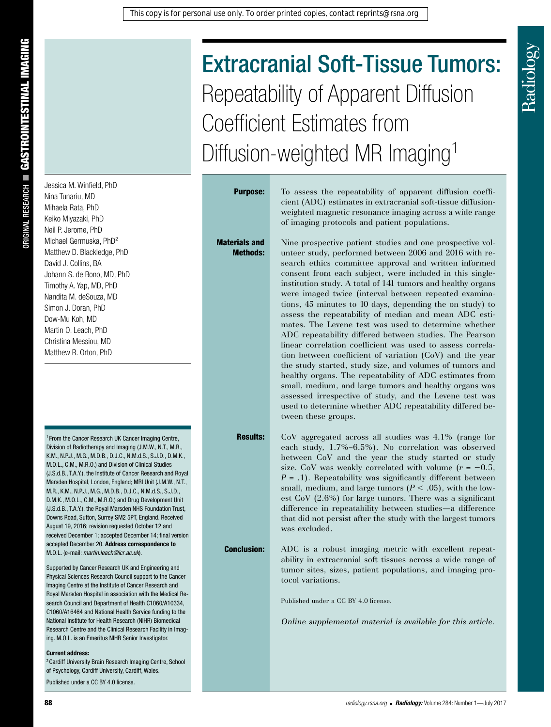# Extracranial Soft-Tissue Tumors: Repeatability of Apparent Diffusion Coefficient Estimates from Diffusion-weighted MR Imaging<sup>1</sup>

# Jessica M. Winfield, PhD Nina Tunariu, MD Mihaela Rata, PhD Keiko Miyazaki, PhD Neil P. Jerome, PhD Michael Germuska, PhD2 Matthew D. Blackledge, PhD David J. Collins, BA Johann S. de Bono, MD, PhD Timothy A. Yap, MD, PhD Nandita M. deSouza, MD Simon J. Doran, PhD Dow-Mu Koh, MD Martin O. Leach, PhD Christina Messiou, MD Matthew R. Orton, PhD

<sup>1</sup> From the Cancer Research UK Cancer Imaging Centre, Division of Radiotherapy and Imaging (J.M.W., N.T., M.R., K.M., N.P.J., M.G., M.D.B., D.J.C., N.M.d.S., S.J.D., D.M.K., M.O.L., C.M., M.R.O.) and Division of Clinical Studies (J.S.d.B., T.A.Y.), the Institute of Cancer Research and Royal Marsden Hospital, London, England; MRI Unit (J.M.W., N.T., M.R., K.M., N.P.J., M.G., M.D.B., D.J.C., N.M.d.S., S.J.D., D.M.K., M.O.L., C.M., M.R.O.) and Drug Development Unit (J.S.d.B., T.A.Y.), the Royal Marsden NHS Foundation Trust, Downs Road, Sutton, Surrey SM2 5PT, England. Received August 19, 2016; revision requested October 12 and received December 1; accepted December 14; final version accepted December 20. **Address correspondence to** M.O.L. (e-mail: *martin.leach@icr.ac.uk*).

Supported by Cancer Research UK and Engineering and Physical Sciences Research Council support to the Cancer Imaging Centre at the Institute of Cancer Research and Royal Marsden Hospital in association with the Medical Research Council and Department of Health C1060/A10334, C1060/A16464 and National Health Service funding to the National Institute for Health Research (NIHR) Biomedical Research Centre and the Clinical Research Facility in Imaging. M.O.L. is an Emeritus NIHR Senior Investigator.

#### **Current address:**

2Cardiff University Brain Research Imaging Centre, School of Psychology, Cardiff University, Cardiff, Wales. Published under a CC BY 4.0 license.

Materials and Methods:

**Purpose:** To assess the repeatability of apparent diffusion coefficient (ADC) estimates in extracranial soft-tissue diffusionweighted magnetic resonance imaging across a wide range of imaging protocols and patient populations.

> Nine prospective patient studies and one prospective volunteer study, performed between 2006 and 2016 with research ethics committee approval and written informed consent from each subject, were included in this singleinstitution study. A total of 141 tumors and healthy organs were imaged twice (interval between repeated examinations, 45 minutes to 10 days, depending the on study) to assess the repeatability of median and mean ADC estimates. The Levene test was used to determine whether ADC repeatability differed between studies. The Pearson linear correlation coefficient was used to assess correlation between coefficient of variation (CoV) and the year the study started, study size, and volumes of tumors and healthy organs. The repeatability of ADC estimates from small, medium, and large tumors and healthy organs was assessed irrespective of study, and the Levene test was used to determine whether ADC repeatability differed between these groups.

Results: CoV aggregated across all studies was 4.1% (range for each study, 1.7%–6.5%). No correlation was observed between CoV and the year the study started or study size. CoV was weakly correlated with volume  $(r = -0.5,$  $P = .1$ ). Repeatability was significantly different between small, medium, and large tumors  $(P < .05)$ , with the lowest CoV (2.6%) for large tumors. There was a significant difference in repeatability between studies—a difference that did not persist after the study with the largest tumors was excluded.

**Conclusion:** ADC is a robust imaging metric with excellent repeatability in extracranial soft tissues across a wide range of tumor sites, sizes, patient populations, and imaging protocol variations.

Published under a CC BY 4.0 license.

*Online supplemental material is available for this article.*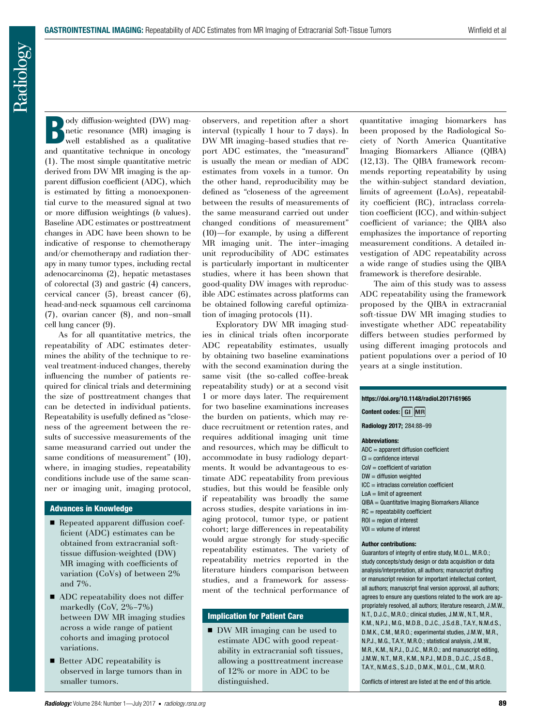Radiology

Body diffusion-weighted (DW) mag-<br>netic resonance (MR) imaging is<br>well established as a qualitative netic resonance (MR) imaging is well established as a qualitative and quantitative technique in oncology (1). The most simple quantitative metric derived from DW MR imaging is the apparent diffusion coefficient (ADC), which is estimated by fitting a monoexponential curve to the measured signal at two or more diffusion weightings (*b* values). Baseline ADC estimates or posttreatment changes in ADC have been shown to be indicative of response to chemotherapy and/or chemotherapy and radiation therapy in many tumor types, including rectal adenocarcinoma (2), hepatic metastases of colorectal (3) and gastric (4) cancers, cervical cancer (5), breast cancer (6), head-and-neck squamous cell carcinoma (7), ovarian cancer (8), and non–small cell lung cancer (9).

As for all quantitative metrics, the repeatability of ADC estimates determines the ability of the technique to reveal treatment-induced changes, thereby influencing the number of patients required for clinical trials and determining the size of posttreatment changes that can be detected in individual patients. Repeatability is usefully defined as "closeness of the agreement between the results of successive measurements of the same measurand carried out under the same conditions of measurement" (10), where, in imaging studies, repeatability conditions include use of the same scanner or imaging unit, imaging protocol,

#### Advances in Knowledge

- Repeated apparent diffusion coefficient (ADC) estimates can be obtained from extracranial softtissue diffusion-weighted (DW) MR imaging with coefficients of variation (CoVs) of between 2% and 7%.
- ADC repeatability does not differ markedly (CoV, 2%–7%) between DW MR imaging studies across a wide range of patient cohorts and imaging protocol variations.
- Better ADC repeatability is observed in large tumors than in smaller tumors.

observers, and repetition after a short interval (typically 1 hour to 7 days). In DW MR imaging–based studies that report ADC estimates, the "measurand" is usually the mean or median of ADC estimates from voxels in a tumor. On the other hand, reproducibility may be defined as "closeness of the agreement between the results of measurements of the same measurand carried out under changed conditions of measurement" (10)—for example, by using a different MR imaging unit. The inter–imaging unit reproducibility of ADC estimates is particularly important in multicenter studies, where it has been shown that good-quality DW images with reproducible ADC estimates across platforms can be obtained following careful optimization of imaging protocols (11).

Exploratory DW MR imaging studies in clinical trials often incorporate ADC repeatability estimates, usually by obtaining two baseline examinations with the second examination during the same visit (the so-called coffee-break repeatability study) or at a second visit 1 or more days later. The requirement for two baseline examinations increases the burden on patients, which may reduce recruitment or retention rates, and requires additional imaging unit time and resources, which may be difficult to accommodate in busy radiology departments. It would be advantageous to estimate ADC repeatability from previous studies, but this would be feasible only if repeatability was broadly the same across studies, despite variations in imaging protocol, tumor type, or patient cohort; large differences in repeatability would argue strongly for study-specific repeatability estimates. The variety of repeatability metrics reported in the literature hinders comparison between studies, and a framework for assessment of the technical performance of

#### Implication for Patient Care

■ DW MR imaging can be used to estimate ADC with good repeatability in extracranial soft tissues, allowing a posttreatment increase of 12% or more in ADC to be distinguished.

quantitative imaging biomarkers has been proposed by the Radiological Society of North America Quantitative Imaging Biomarkers Alliance (QIBA) (12,13). The QIBA framework recommends reporting repeatability by using the within-subject standard deviation, limits of agreement (LoAs), repeatability coefficient (RC), intraclass correlation coefficient (ICC), and within-subject coefficient of variance; the QIBA also emphasizes the importance of reporting measurement conditions. A detailed investigation of ADC repeatability across a wide range of studies using the QIBA framework is therefore desirable.

The aim of this study was to assess ADC repeatability using the framework proposed by the QIBA in extracranial soft-tissue DW MR imaging studies to investigate whether ADC repeatability differs between studies performed by using different imaging protocols and patient populations over a period of 10 years at a single institution.

| https://doi.org/10.1148/radiol.2017161965         |
|---------------------------------------------------|
| Content codes: GI MR                              |
| Radiology 2017; 284:88-99                         |
| <b>Abbreviations:</b>                             |
| $ADC = apparent diffusion coefficient$            |
| $Cl =$ confidence interval                        |
| $C_0V = coefficient of variation$                 |
| $DW =$ diffusion weighted                         |
| $ICC = intraclass correlation coefficient$        |
| $LoA = limit of agreement$                        |
| $QIBA = Quantitative Imaging Biomarkers Alliance$ |
| $RC = repeatability coefficient$                  |
| $ROI = region of interest$                        |

#### $VOI = volume of interest$

#### **Author contributions:**

Guarantors of integrity of entire study, M.O.L., M.R.O.; study concepts/study design or data acquisition or data analysis/interpretation, all authors; manuscript drafting or manuscript revision for important intellectual content, all authors; manuscript final version approval, all authors; agrees to ensure any questions related to the work are appropriately resolved, all authors; literature research, J.M.W., N.T., D.J.C., M.R.O.; clinical studies, J.M.W., N.T., M.R., K.M., N.P.J., M.G., M.D.B., D.J.C., J.S.d.B., T.A.Y., N.M.d.S., D.M.K., C.M., M.R.O.; experimental studies, J.M.W., M.R., N.P.J., M.G., T.A.Y., M.R.O.; statistical analysis, J.M.W., M.R., K.M., N.P.J., D.J.C., M.R.O.; and manuscript editing, J.M.W., N.T., M.R., K.M., N.P.J., M.D.B., D.J.C., J.S.d.B., T.A.Y., N.M.d.S., S.J.D., D.M.K., M.O.L., C.M., M.R.O.

Conflicts of interest are listed at the end of this article.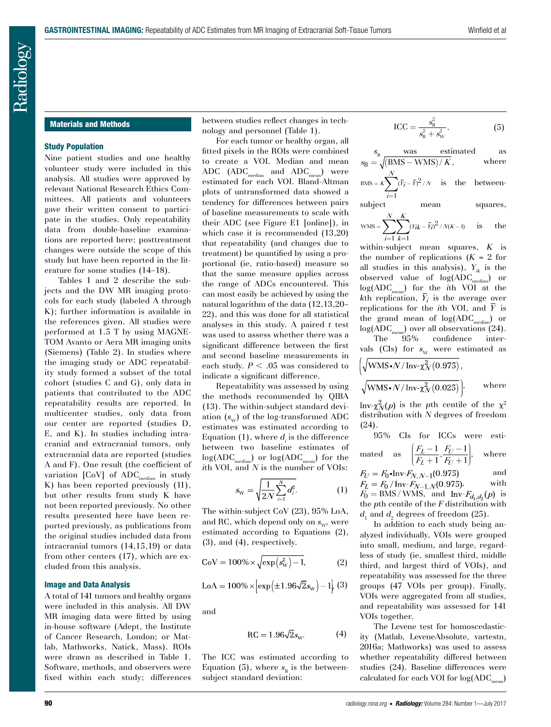## Materials and Methods

#### Study Population

Nine patient studies and one healthy volunteer study were included in this analysis. All studies were approved by relevant National Research Ethics Committees. All patients and volunteers gave their written consent to participate in the studies. Only repeatability data from double-baseline examinations are reported here; posttreatment changes were outside the scope of this study but have been reported in the literature for some studies (14–18).

Tables 1 and 2 describe the subjects and the DW MR imaging protocols for each study (labeled A through K); further information is available in the references given. All studies were performed at 1.5 T by using MAGNE-TOM Avanto or Aera MR imaging units (Siemens) (Table 2). In studies where the imaging study or ADC repeatability study formed a subset of the total cohort (studies C and G), only data in patients that contributed to the ADC repeatability results are reported. In multicenter studies, only data from our center are reported (studies D, E, and K). In studies including intracranial and extracranial tumors, only extracranial data are reported (studies A and F). One result (the coefficient of variation  $[CoV]$  of  $ADC_{median}$  in study K) has been reported previously (11), but other results from study K have not been reported previously. No other results presented here have been reported previously, as publications from the original studies included data from intracranial tumors (14,15,19) or data from other centers (17), which are excluded from this analysis.

#### Image and Data Analysis

A total of 141 tumors and healthy organs were included in this analysis. All DW MR imaging data were fitted by using in-house software (Adept, the Institute of Cancer Research, London; or Matlab, Mathworks, Natick, Mass). ROIs were drawn as described in Table 1. Software, methods, and observers were fixed within each study; differences between studies reflect changes in technology and personnel (Table 1).

For each tumor or healthy organ, all fitted pixels in the ROIs were combined to create a VOI. Median and mean ADC  $(ADC_{median}$  and  $ADC_{mean}$ ) were estimated for each VOI. Bland-Altman plots of untransformed data showed a tendency for differences between pairs of baseline measurements to scale with their ADC (see Figure E1 [online]), in which case it is recommended (13,20) that repeatability (and changes due to treatment) be quantified by using a proportional (ie, ratio-based) measure so that the same measure applies across the range of ADCs encountered. This can most easily be achieved by using the natural logarithm of the data (12,13,20– 22), and this was done for all statistical analyses in this study. A paired *t* test was used to assess whether there was a significant difference between the first and second baseline measurements in each study.  $P < .05$  was considered to indicate a significant difference.

Repeatability was assessed by using the methods recommended by QIBA (13). The within-subject standard deviation  $(s_{w})$  of the log-transformed ADC estimates was estimated according to Equation (1), where  $d_i$  is the difference between two baseline estimates of  $log(ADC_{median})$  or  $log(ADC_{mean})$  for the *i*th VOI, and *N* is the number of VOIs:

$$
s_{\rm w} = \sqrt{\frac{1}{2N} \sum_{i=1}^{N} d_i^2}.
$$
 (1)

The within-subject CoV (23), 95% LoA, and RC, which depend only on  $s_{w}$ , were estimated according to Equations (2), (3), and (4), respectively.

$$
\text{CoV} = 100\% \times \sqrt{\exp(s_{\text{W}}^2) - 1},\tag{2}
$$

$$
LoA = 100\% \times \left[ exp(\pm 1.96\sqrt{2} s_{w}) - 1 \right], (3)
$$

and

$$
RC = 1.96\sqrt{2}sW.
$$
 (4)

The ICC was estimated according to Equation (5), where  $s_{\rm B}$  is the betweensubject standard deviation:

$$
\text{ICC} = \frac{s_{\text{B}}^2}{s_{\text{B}}^2 + s_{\text{W}}^2}.\tag{5}
$$

$$
s_{\text{B}} = \sqrt{\frac{\text{BMS} - \text{WMS}}{K}},
$$
 where  
 
$$
s_{\text{B}} = \sqrt{\frac{\text{BMS} - \text{WMS}}{K}},
$$
 where  
 
$$
s_{\text{BMS}} = \kappa \sum_{i=1}^{N} (\bar{r}_i - \bar{r})^2 / N
$$
 is the between-

subject mean squares,

$$
\text{WMS} = \sum_{i=1}^{N} \sum_{k=1}^{K} (Y_{ik} - \bar{Y}_{i})^2 / N(K-1) \quad \text{is} \quad \text{the}
$$

within-subject mean squares, *K* is the number of replications  $(K = 2$  for all studies in this analysis),  $Y_{ik}$  is the observed value of  $log(ADC_{median})$  or log(ADC<sub>mean</sub>) for the *i*th VOI at the *kth* replication,  $\overline{Y}_i$  is the average over replications for the *i*th VOI, and  $\overline{Y}$  is the grand mean of  $log(ADC_{median})$  or  $log(ADC_{mean})$  over all observations (24).

The 95% confidence intervals (CIs) for  $s_w$  were estimated as  $\sqrt{\frac{1}{2} \cdot \frac{1}{2} \cdot \frac{1}{2} \cdot \frac{1}{2} \cdot \frac{1}{2} \cdot \frac{1}{2} \cdot \frac{1}{2} \cdot \frac{1}{2} \cdot \frac{1}{2} \cdot \frac{1}{2} \cdot \frac{1}{2} \cdot \frac{1}{2} \cdot \frac{1}{2} \cdot \frac{1}{2} \cdot \frac{1}{2} \cdot \frac{1}{2} \cdot \frac{1}{2} \cdot \frac{1}{2} \cdot \frac{1}{2} \cdot \frac{1}{2} \cdot \frac{1}{2} \cdot \frac{1}{2} \cdot \frac{1}{2} \cdot \frac{1}{2} \cdot \frac$  $\frac{2}{2}$  (e.g. =  $\frac{2}{2}$ )

$$
\left(\sqrt{\text{WMS} \cdot N / \text{Inv} \cdot \chi_N^2(0.975)},\right)
$$
\n
$$
\sqrt{\text{WMS} \cdot N / \text{Inv} \cdot \chi_N^2(0.025)}\bigg)
$$
, where

 $\text{Inv-}\chi^2_N(p)$  is the *p*th centile of the  $\chi^2$ distribution with *N* degrees of freedom (24).

95% CIs for ICCs were estimated as  $\left( \frac{F_L - 1}{F_L + 1}, \frac{F_U - 1}{F_U + 1} \right)$  $L$  + 1  $\,$   $F$  $U$  $F_I$  – 1  $F_I$  $\left(\frac{F_L - 1}{F_L + 1}, \frac{F_U - 1}{F_U + 1}\right)$ , where

 $F_U = F_0 \cdot \text{Inv-}F_{N,N-1}(0.975)$  and  $-F_{N-1,N}(0.975)$ , with  $F_0 = BMS/WMS$ , and  $Inv-F_{d,d_2}(p)$  is the *p*th centile of the *F* distribution with  $d_1$  and  $d_2$  degrees of freedom (25).

In addition to each study being analyzed individually, VOIs were grouped into small, medium, and large, regardless of study (ie, smallest third, middle third, and largest third of VOIs), and repeatability was assessed for the three groups (47 VOIs per group). Finally, VOIs were aggregated from all studies, and repeatability was assessed for 141 VOIs together.

The Levene test for homoscedasticity (Matlab, LeveneAbsolute, vartestn, 2016a; Mathworks) was used to assess whether repeatability differed between studies (24). Baseline differences were calculated for each VOI for  $log(ADC_{\text{mean}})$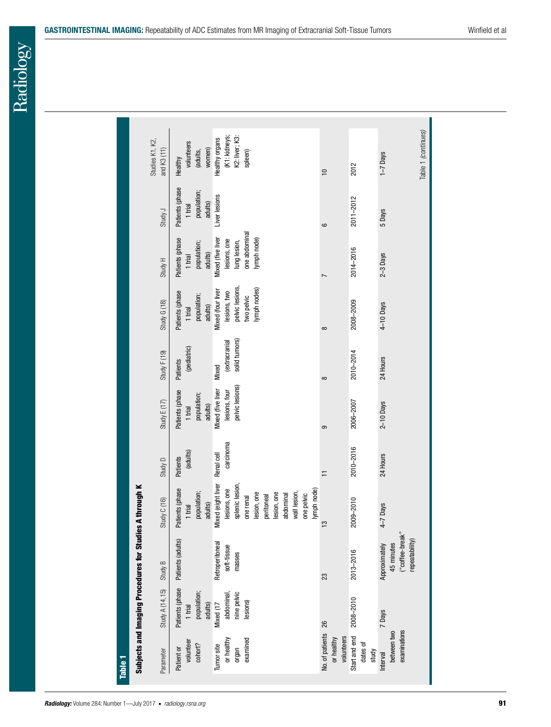|                                                   | Subjects and Imaging Procedures for Studies A through K          |                                                                                                                                                                          |                         |                                                       |                                         |                                                                                   |                                                                                   |                                                      |                                                              |
|---------------------------------------------------|------------------------------------------------------------------|--------------------------------------------------------------------------------------------------------------------------------------------------------------------------|-------------------------|-------------------------------------------------------|-----------------------------------------|-----------------------------------------------------------------------------------|-----------------------------------------------------------------------------------|------------------------------------------------------|--------------------------------------------------------------|
| Study A (14,15)                                   | Study B                                                          | Study C (16)                                                                                                                                                             | Study D                 | Study $E(17)$                                         | Study $F(19)$                           | Study G (18)                                                                      | Study H                                                                           | Study J                                              | Studies K1, K2,<br>and K3 (11)                               |
| population;<br>adults)<br>1 trial                 | Patients (phase Patients (adults)                                | Patients (phase<br>population;<br>adults)<br>1 trial                                                                                                                     | (adults)<br>Patients    | Patients (phase<br>population;<br>adults)<br>1 trial  | (pediatric)<br><b>Patients</b>          | Patients (phase<br>population;<br>adults)<br>1 trial                              | Patients (phase<br>population;<br>adults)<br>1 trial                              | Patients (phase<br>population;<br>adults)<br>1 trial | volunteers<br>women)<br>(adults,<br>Healthy                  |
| nine pelvic<br>abdominal<br>lesions)<br>Mixed (17 | Retroperitoneal<br>soft-tissue<br>masses                         | Mixed (eight liver<br>splenic lesion,<br>lesions, one<br>lymph node)<br>wall lesion,<br>lesion, one<br>lesion, one<br>one pelvic<br>abdominal<br>peritoneal<br>one renal | carcinoma<br>Renal cell | pelvic lesions)<br>Mixed (five liver<br>lesions, four | solid tumors)<br>(extracranial<br>Mixed | pelvic lesions<br>lymph nodes)<br>Mixed (four liver<br>lesions, two<br>two pelvic | one abdominal<br>Mixed (five liver<br>lymph node)<br>lesions, one<br>lung lesion, | Liver lesions                                        | (K1: kidneys;<br>K2: liver; K3:<br>Healthy organs<br>spleen) |
|                                                   | 23                                                               | بت                                                                                                                                                                       | ᄃ                       | ဓာ                                                    | $\infty$                                | ∞                                                                                 |                                                                                   | ဖ                                                    | $\approx$                                                    |
| 2008-2010                                         | 2013-2016                                                        | 2009-2010                                                                                                                                                                | 2010-2016               | 2006-2007                                             | 2010-2014                               | 2008-2009                                                                         | 2014-2016                                                                         | 2011-2012                                            | 2012                                                         |
| 7 Days                                            | ("coffee-break"<br>repeatability)<br>45 minutes<br>Approximately | $4 - 7$ Days                                                                                                                                                             | 24 Hours                | $2-10$ Days                                           | 24 Hours                                | 4-10 Days                                                                         | $2-3$ Days                                                                        | 5 Days                                               | Table 1 (continues)<br>$1 - 7$ Days                          |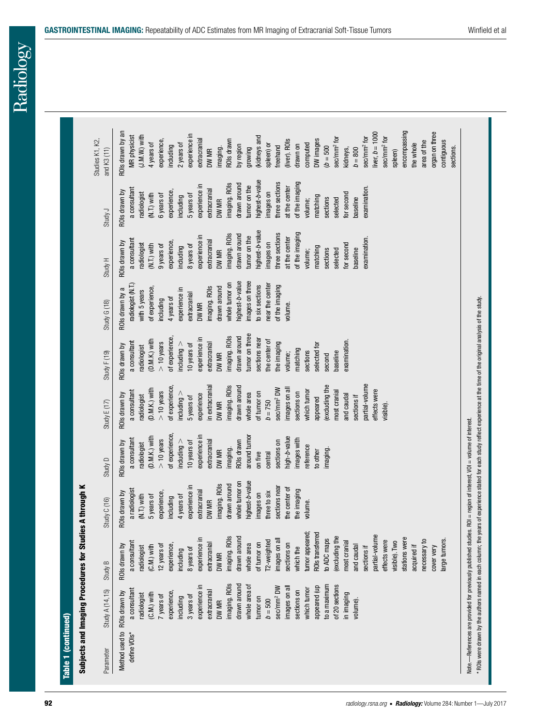| <b>GASTROINTESTINAL IMAGING:</b> Repeatability of ADC Estimates from MR Imaging of Extracranial Soft-Tissue Tumors | Winfield et al |
|--------------------------------------------------------------------------------------------------------------------|----------------|
|                                                                                                                    |                |

| highest-b-value<br>of the imaging<br>three sections<br>imaging. ROIs<br>drawn around<br>experience in<br>tumor on the<br>examination.<br>at the center<br>a consultant<br>extracranial<br>experience,<br>images on<br>ROIs drawn by<br>for second<br>radiologist<br>$(N.T.)$ with<br>6 years of<br>5 years of<br>including<br>matching<br>paseline<br>selected<br>sections<br>DW MR<br>volume;<br>Study J<br>highest-b-value<br>three sections<br>of the imaging<br>imaging. ROIs<br>drawn around<br>experience in<br>tumor on the<br>at the center<br>examination.<br>a consultant<br>extracranial<br>experience,<br>ROIs drawn by<br>images on<br>radiologist<br>for second<br>$(N.T.)$ with<br>9 years of<br>8 years of<br>including<br>matching<br>DW MR<br>baseline<br>sections<br>selected<br>volume;<br>Study H<br>images on three<br>highest-b-value<br>whole tumor on<br>near the center<br>radiologist (N.T.)<br>to six sections<br>of the imaging<br>imaging. ROIs<br>drawn around<br>of experience,<br>ROIs drawn by a<br>experience in<br>with 5 years<br>extracranial<br>4 years of<br>including<br>Study G (18)<br>DW MR<br>volume.<br>tumor on three<br>imaging. ROIs<br>drawn around<br>of experience,<br>experience in<br>sections near<br>(D.M.K.) with<br>the center of<br>examination.<br>a consultant<br>$> 10$ years<br>the imaging<br>$include$ throughering<br>extracranial<br>10 years of<br>selected for<br>ROIs drawn by<br>radiologist<br>matching<br>baseline<br>sections<br>Study $F(19)$<br>DW MR<br>volume;<br>second<br>partial-volume<br>in extracranial<br>imaging. ROIs<br>excluding the<br>of experience,<br>drawn around<br>sec/mm <sup>2</sup> DW<br>images on all<br>(D.M.K.) with<br>effects were<br>which tumor<br>$> 10$ years<br>most cranial<br>a consultant<br>sections on<br>$includeing$ ><br>of tumor on<br>whole area<br>ROIs drawn by<br>experience<br>and caudal<br>radiologist<br>sections if<br>5 years of<br>appeared<br>$b = 750$<br>Study $E(17)$<br>DW MR<br>visible).<br>of experience,<br>experience in<br>around tumor<br>high- <i>b</i> -value<br>(D.M.K.) with<br>a consultant<br>$> 10$ years<br>includeing ><br>extracranial<br>mages with<br>ROIs drawn<br>10 years of<br>sections on<br>ROIs drawn by<br>radiologist<br>reference<br>imaging.<br>DW MR<br>imaging.<br>to other<br>on five<br>central<br>Study D<br>highest-b-value<br>whole tumor on<br>imaging. ROIs<br>drawn around<br>experience in<br>sections near<br>the center of<br>a radiologist<br>the imaging<br>extracranial<br>experience,<br>three to six<br>images on<br>ROIs drawn by<br>$(M.T.)$ with<br>5 years of<br>4 years of<br>including<br>Study C (16)<br>DW MR<br>volume.<br>tumor appeared;<br>ROIs transferred<br>partial-volume<br>(excluding the<br>imaging. ROIs<br>drawn around<br>stations were<br>experience in<br>to ADC maps<br>necessary to<br>large tumors.<br>images on al<br>T2-weighted<br>effects were<br>visible). Two<br>a consultant<br>most cranial<br>of tumor on<br>extracranial<br>sections on<br>whole area<br>ROIs drawn by<br>12 years of<br>experience<br>acquired if<br>and caudal<br>$(C.M.)$ with<br>cover very<br>radiologist<br>which the<br>sections if<br>8 years of<br>including<br>DW MR<br>Study B<br>imaging. ROIs<br>drawn around<br>experience in<br>whole area of<br>of 20 sections<br>to a maximum<br>appeared (up<br>sec/mm <sup>2</sup> DW<br>images on al<br>which tumor<br>a consultant<br>Study A (14,15)<br>extracranial<br>sections on<br>ROIs drawn by<br>experience,<br>$(C.M.)$ with<br>in imaging<br>radiologist<br>7 years of<br>3 years of<br>including<br>tumor on<br>$b = 500$<br>volume).<br>DW MR<br>Method used to<br>define VOIs*<br>Parameter |  |  |  | ROIs drawn by an<br>experience in<br>MR physicist<br>$(J.M.W.)$ with<br>Studies K1, K2,<br>experience,<br>4 years of<br>2 years of<br>including<br>and $K3(11)$ |
|-----------------------------------------------------------------------------------------------------------------------------------------------------------------------------------------------------------------------------------------------------------------------------------------------------------------------------------------------------------------------------------------------------------------------------------------------------------------------------------------------------------------------------------------------------------------------------------------------------------------------------------------------------------------------------------------------------------------------------------------------------------------------------------------------------------------------------------------------------------------------------------------------------------------------------------------------------------------------------------------------------------------------------------------------------------------------------------------------------------------------------------------------------------------------------------------------------------------------------------------------------------------------------------------------------------------------------------------------------------------------------------------------------------------------------------------------------------------------------------------------------------------------------------------------------------------------------------------------------------------------------------------------------------------------------------------------------------------------------------------------------------------------------------------------------------------------------------------------------------------------------------------------------------------------------------------------------------------------------------------------------------------------------------------------------------------------------------------------------------------------------------------------------------------------------------------------------------------------------------------------------------------------------------------------------------------------------------------------------------------------------------------------------------------------------------------------------------------------------------------------------------------------------------------------------------------------------------------------------------------------------------------------------------------------------------------------------------------------------------------------------------------------------------------------------------------------------------------------------------------------------------------------------------------------------------------------------------------------------------------------------------------------------------------------------------------------------------------------------------------------------------------------------------------------------------------------------------------------------------------------------------------------------------------------------------------------------------------------------------------------------------------------------------------------------------------------------------------------------------------------------------------------------------------------------------------------------------------------------------------------------------------------------------------------------------------------------------------------------------------------------------|--|--|--|-----------------------------------------------------------------------------------------------------------------------------------------------------------------|
|                                                                                                                                                                                                                                                                                                                                                                                                                                                                                                                                                                                                                                                                                                                                                                                                                                                                                                                                                                                                                                                                                                                                                                                                                                                                                                                                                                                                                                                                                                                                                                                                                                                                                                                                                                                                                                                                                                                                                                                                                                                                                                                                                                                                                                                                                                                                                                                                                                                                                                                                                                                                                                                                                                                                                                                                                                                                                                                                                                                                                                                                                                                                                                                                                                                                                                                                                                                                                                                                                                                                                                                                                                                                                                                                                           |  |  |  |                                                                                                                                                                 |
|                                                                                                                                                                                                                                                                                                                                                                                                                                                                                                                                                                                                                                                                                                                                                                                                                                                                                                                                                                                                                                                                                                                                                                                                                                                                                                                                                                                                                                                                                                                                                                                                                                                                                                                                                                                                                                                                                                                                                                                                                                                                                                                                                                                                                                                                                                                                                                                                                                                                                                                                                                                                                                                                                                                                                                                                                                                                                                                                                                                                                                                                                                                                                                                                                                                                                                                                                                                                                                                                                                                                                                                                                                                                                                                                                           |  |  |  |                                                                                                                                                                 |
|                                                                                                                                                                                                                                                                                                                                                                                                                                                                                                                                                                                                                                                                                                                                                                                                                                                                                                                                                                                                                                                                                                                                                                                                                                                                                                                                                                                                                                                                                                                                                                                                                                                                                                                                                                                                                                                                                                                                                                                                                                                                                                                                                                                                                                                                                                                                                                                                                                                                                                                                                                                                                                                                                                                                                                                                                                                                                                                                                                                                                                                                                                                                                                                                                                                                                                                                                                                                                                                                                                                                                                                                                                                                                                                                                           |  |  |  |                                                                                                                                                                 |
|                                                                                                                                                                                                                                                                                                                                                                                                                                                                                                                                                                                                                                                                                                                                                                                                                                                                                                                                                                                                                                                                                                                                                                                                                                                                                                                                                                                                                                                                                                                                                                                                                                                                                                                                                                                                                                                                                                                                                                                                                                                                                                                                                                                                                                                                                                                                                                                                                                                                                                                                                                                                                                                                                                                                                                                                                                                                                                                                                                                                                                                                                                                                                                                                                                                                                                                                                                                                                                                                                                                                                                                                                                                                                                                                                           |  |  |  |                                                                                                                                                                 |
|                                                                                                                                                                                                                                                                                                                                                                                                                                                                                                                                                                                                                                                                                                                                                                                                                                                                                                                                                                                                                                                                                                                                                                                                                                                                                                                                                                                                                                                                                                                                                                                                                                                                                                                                                                                                                                                                                                                                                                                                                                                                                                                                                                                                                                                                                                                                                                                                                                                                                                                                                                                                                                                                                                                                                                                                                                                                                                                                                                                                                                                                                                                                                                                                                                                                                                                                                                                                                                                                                                                                                                                                                                                                                                                                                           |  |  |  |                                                                                                                                                                 |
|                                                                                                                                                                                                                                                                                                                                                                                                                                                                                                                                                                                                                                                                                                                                                                                                                                                                                                                                                                                                                                                                                                                                                                                                                                                                                                                                                                                                                                                                                                                                                                                                                                                                                                                                                                                                                                                                                                                                                                                                                                                                                                                                                                                                                                                                                                                                                                                                                                                                                                                                                                                                                                                                                                                                                                                                                                                                                                                                                                                                                                                                                                                                                                                                                                                                                                                                                                                                                                                                                                                                                                                                                                                                                                                                                           |  |  |  |                                                                                                                                                                 |
|                                                                                                                                                                                                                                                                                                                                                                                                                                                                                                                                                                                                                                                                                                                                                                                                                                                                                                                                                                                                                                                                                                                                                                                                                                                                                                                                                                                                                                                                                                                                                                                                                                                                                                                                                                                                                                                                                                                                                                                                                                                                                                                                                                                                                                                                                                                                                                                                                                                                                                                                                                                                                                                                                                                                                                                                                                                                                                                                                                                                                                                                                                                                                                                                                                                                                                                                                                                                                                                                                                                                                                                                                                                                                                                                                           |  |  |  |                                                                                                                                                                 |
|                                                                                                                                                                                                                                                                                                                                                                                                                                                                                                                                                                                                                                                                                                                                                                                                                                                                                                                                                                                                                                                                                                                                                                                                                                                                                                                                                                                                                                                                                                                                                                                                                                                                                                                                                                                                                                                                                                                                                                                                                                                                                                                                                                                                                                                                                                                                                                                                                                                                                                                                                                                                                                                                                                                                                                                                                                                                                                                                                                                                                                                                                                                                                                                                                                                                                                                                                                                                                                                                                                                                                                                                                                                                                                                                                           |  |  |  |                                                                                                                                                                 |
|                                                                                                                                                                                                                                                                                                                                                                                                                                                                                                                                                                                                                                                                                                                                                                                                                                                                                                                                                                                                                                                                                                                                                                                                                                                                                                                                                                                                                                                                                                                                                                                                                                                                                                                                                                                                                                                                                                                                                                                                                                                                                                                                                                                                                                                                                                                                                                                                                                                                                                                                                                                                                                                                                                                                                                                                                                                                                                                                                                                                                                                                                                                                                                                                                                                                                                                                                                                                                                                                                                                                                                                                                                                                                                                                                           |  |  |  |                                                                                                                                                                 |
|                                                                                                                                                                                                                                                                                                                                                                                                                                                                                                                                                                                                                                                                                                                                                                                                                                                                                                                                                                                                                                                                                                                                                                                                                                                                                                                                                                                                                                                                                                                                                                                                                                                                                                                                                                                                                                                                                                                                                                                                                                                                                                                                                                                                                                                                                                                                                                                                                                                                                                                                                                                                                                                                                                                                                                                                                                                                                                                                                                                                                                                                                                                                                                                                                                                                                                                                                                                                                                                                                                                                                                                                                                                                                                                                                           |  |  |  | extracranial                                                                                                                                                    |
|                                                                                                                                                                                                                                                                                                                                                                                                                                                                                                                                                                                                                                                                                                                                                                                                                                                                                                                                                                                                                                                                                                                                                                                                                                                                                                                                                                                                                                                                                                                                                                                                                                                                                                                                                                                                                                                                                                                                                                                                                                                                                                                                                                                                                                                                                                                                                                                                                                                                                                                                                                                                                                                                                                                                                                                                                                                                                                                                                                                                                                                                                                                                                                                                                                                                                                                                                                                                                                                                                                                                                                                                                                                                                                                                                           |  |  |  | DW MR                                                                                                                                                           |
|                                                                                                                                                                                                                                                                                                                                                                                                                                                                                                                                                                                                                                                                                                                                                                                                                                                                                                                                                                                                                                                                                                                                                                                                                                                                                                                                                                                                                                                                                                                                                                                                                                                                                                                                                                                                                                                                                                                                                                                                                                                                                                                                                                                                                                                                                                                                                                                                                                                                                                                                                                                                                                                                                                                                                                                                                                                                                                                                                                                                                                                                                                                                                                                                                                                                                                                                                                                                                                                                                                                                                                                                                                                                                                                                                           |  |  |  | imaging.                                                                                                                                                        |
|                                                                                                                                                                                                                                                                                                                                                                                                                                                                                                                                                                                                                                                                                                                                                                                                                                                                                                                                                                                                                                                                                                                                                                                                                                                                                                                                                                                                                                                                                                                                                                                                                                                                                                                                                                                                                                                                                                                                                                                                                                                                                                                                                                                                                                                                                                                                                                                                                                                                                                                                                                                                                                                                                                                                                                                                                                                                                                                                                                                                                                                                                                                                                                                                                                                                                                                                                                                                                                                                                                                                                                                                                                                                                                                                                           |  |  |  | ROIs drawn                                                                                                                                                      |
|                                                                                                                                                                                                                                                                                                                                                                                                                                                                                                                                                                                                                                                                                                                                                                                                                                                                                                                                                                                                                                                                                                                                                                                                                                                                                                                                                                                                                                                                                                                                                                                                                                                                                                                                                                                                                                                                                                                                                                                                                                                                                                                                                                                                                                                                                                                                                                                                                                                                                                                                                                                                                                                                                                                                                                                                                                                                                                                                                                                                                                                                                                                                                                                                                                                                                                                                                                                                                                                                                                                                                                                                                                                                                                                                                           |  |  |  | by region                                                                                                                                                       |
|                                                                                                                                                                                                                                                                                                                                                                                                                                                                                                                                                                                                                                                                                                                                                                                                                                                                                                                                                                                                                                                                                                                                                                                                                                                                                                                                                                                                                                                                                                                                                                                                                                                                                                                                                                                                                                                                                                                                                                                                                                                                                                                                                                                                                                                                                                                                                                                                                                                                                                                                                                                                                                                                                                                                                                                                                                                                                                                                                                                                                                                                                                                                                                                                                                                                                                                                                                                                                                                                                                                                                                                                                                                                                                                                                           |  |  |  | growing                                                                                                                                                         |
|                                                                                                                                                                                                                                                                                                                                                                                                                                                                                                                                                                                                                                                                                                                                                                                                                                                                                                                                                                                                                                                                                                                                                                                                                                                                                                                                                                                                                                                                                                                                                                                                                                                                                                                                                                                                                                                                                                                                                                                                                                                                                                                                                                                                                                                                                                                                                                                                                                                                                                                                                                                                                                                                                                                                                                                                                                                                                                                                                                                                                                                                                                                                                                                                                                                                                                                                                                                                                                                                                                                                                                                                                                                                                                                                                           |  |  |  | (kidneys and                                                                                                                                                    |
|                                                                                                                                                                                                                                                                                                                                                                                                                                                                                                                                                                                                                                                                                                                                                                                                                                                                                                                                                                                                                                                                                                                                                                                                                                                                                                                                                                                                                                                                                                                                                                                                                                                                                                                                                                                                                                                                                                                                                                                                                                                                                                                                                                                                                                                                                                                                                                                                                                                                                                                                                                                                                                                                                                                                                                                                                                                                                                                                                                                                                                                                                                                                                                                                                                                                                                                                                                                                                                                                                                                                                                                                                                                                                                                                                           |  |  |  | spleen) or                                                                                                                                                      |
|                                                                                                                                                                                                                                                                                                                                                                                                                                                                                                                                                                                                                                                                                                                                                                                                                                                                                                                                                                                                                                                                                                                                                                                                                                                                                                                                                                                                                                                                                                                                                                                                                                                                                                                                                                                                                                                                                                                                                                                                                                                                                                                                                                                                                                                                                                                                                                                                                                                                                                                                                                                                                                                                                                                                                                                                                                                                                                                                                                                                                                                                                                                                                                                                                                                                                                                                                                                                                                                                                                                                                                                                                                                                                                                                                           |  |  |  | freehand                                                                                                                                                        |
|                                                                                                                                                                                                                                                                                                                                                                                                                                                                                                                                                                                                                                                                                                                                                                                                                                                                                                                                                                                                                                                                                                                                                                                                                                                                                                                                                                                                                                                                                                                                                                                                                                                                                                                                                                                                                                                                                                                                                                                                                                                                                                                                                                                                                                                                                                                                                                                                                                                                                                                                                                                                                                                                                                                                                                                                                                                                                                                                                                                                                                                                                                                                                                                                                                                                                                                                                                                                                                                                                                                                                                                                                                                                                                                                                           |  |  |  | liver). ROIs                                                                                                                                                    |
|                                                                                                                                                                                                                                                                                                                                                                                                                                                                                                                                                                                                                                                                                                                                                                                                                                                                                                                                                                                                                                                                                                                                                                                                                                                                                                                                                                                                                                                                                                                                                                                                                                                                                                                                                                                                                                                                                                                                                                                                                                                                                                                                                                                                                                                                                                                                                                                                                                                                                                                                                                                                                                                                                                                                                                                                                                                                                                                                                                                                                                                                                                                                                                                                                                                                                                                                                                                                                                                                                                                                                                                                                                                                                                                                                           |  |  |  | drawn on                                                                                                                                                        |
|                                                                                                                                                                                                                                                                                                                                                                                                                                                                                                                                                                                                                                                                                                                                                                                                                                                                                                                                                                                                                                                                                                                                                                                                                                                                                                                                                                                                                                                                                                                                                                                                                                                                                                                                                                                                                                                                                                                                                                                                                                                                                                                                                                                                                                                                                                                                                                                                                                                                                                                                                                                                                                                                                                                                                                                                                                                                                                                                                                                                                                                                                                                                                                                                                                                                                                                                                                                                                                                                                                                                                                                                                                                                                                                                                           |  |  |  | computed                                                                                                                                                        |
|                                                                                                                                                                                                                                                                                                                                                                                                                                                                                                                                                                                                                                                                                                                                                                                                                                                                                                                                                                                                                                                                                                                                                                                                                                                                                                                                                                                                                                                                                                                                                                                                                                                                                                                                                                                                                                                                                                                                                                                                                                                                                                                                                                                                                                                                                                                                                                                                                                                                                                                                                                                                                                                                                                                                                                                                                                                                                                                                                                                                                                                                                                                                                                                                                                                                                                                                                                                                                                                                                                                                                                                                                                                                                                                                                           |  |  |  | DW images                                                                                                                                                       |
|                                                                                                                                                                                                                                                                                                                                                                                                                                                                                                                                                                                                                                                                                                                                                                                                                                                                                                                                                                                                                                                                                                                                                                                                                                                                                                                                                                                                                                                                                                                                                                                                                                                                                                                                                                                                                                                                                                                                                                                                                                                                                                                                                                                                                                                                                                                                                                                                                                                                                                                                                                                                                                                                                                                                                                                                                                                                                                                                                                                                                                                                                                                                                                                                                                                                                                                                                                                                                                                                                                                                                                                                                                                                                                                                                           |  |  |  | $(b = 500)$                                                                                                                                                     |
|                                                                                                                                                                                                                                                                                                                                                                                                                                                                                                                                                                                                                                                                                                                                                                                                                                                                                                                                                                                                                                                                                                                                                                                                                                                                                                                                                                                                                                                                                                                                                                                                                                                                                                                                                                                                                                                                                                                                                                                                                                                                                                                                                                                                                                                                                                                                                                                                                                                                                                                                                                                                                                                                                                                                                                                                                                                                                                                                                                                                                                                                                                                                                                                                                                                                                                                                                                                                                                                                                                                                                                                                                                                                                                                                                           |  |  |  | sec/mm <sup>2</sup> for                                                                                                                                         |
|                                                                                                                                                                                                                                                                                                                                                                                                                                                                                                                                                                                                                                                                                                                                                                                                                                                                                                                                                                                                                                                                                                                                                                                                                                                                                                                                                                                                                                                                                                                                                                                                                                                                                                                                                                                                                                                                                                                                                                                                                                                                                                                                                                                                                                                                                                                                                                                                                                                                                                                                                                                                                                                                                                                                                                                                                                                                                                                                                                                                                                                                                                                                                                                                                                                                                                                                                                                                                                                                                                                                                                                                                                                                                                                                                           |  |  |  | kidneys,                                                                                                                                                        |
|                                                                                                                                                                                                                                                                                                                                                                                                                                                                                                                                                                                                                                                                                                                                                                                                                                                                                                                                                                                                                                                                                                                                                                                                                                                                                                                                                                                                                                                                                                                                                                                                                                                                                                                                                                                                                                                                                                                                                                                                                                                                                                                                                                                                                                                                                                                                                                                                                                                                                                                                                                                                                                                                                                                                                                                                                                                                                                                                                                                                                                                                                                                                                                                                                                                                                                                                                                                                                                                                                                                                                                                                                                                                                                                                                           |  |  |  | $b = 800$                                                                                                                                                       |
|                                                                                                                                                                                                                                                                                                                                                                                                                                                                                                                                                                                                                                                                                                                                                                                                                                                                                                                                                                                                                                                                                                                                                                                                                                                                                                                                                                                                                                                                                                                                                                                                                                                                                                                                                                                                                                                                                                                                                                                                                                                                                                                                                                                                                                                                                                                                                                                                                                                                                                                                                                                                                                                                                                                                                                                                                                                                                                                                                                                                                                                                                                                                                                                                                                                                                                                                                                                                                                                                                                                                                                                                                                                                                                                                                           |  |  |  | sec/mm <sup>2</sup> for                                                                                                                                         |
|                                                                                                                                                                                                                                                                                                                                                                                                                                                                                                                                                                                                                                                                                                                                                                                                                                                                                                                                                                                                                                                                                                                                                                                                                                                                                                                                                                                                                                                                                                                                                                                                                                                                                                                                                                                                                                                                                                                                                                                                                                                                                                                                                                                                                                                                                                                                                                                                                                                                                                                                                                                                                                                                                                                                                                                                                                                                                                                                                                                                                                                                                                                                                                                                                                                                                                                                                                                                                                                                                                                                                                                                                                                                                                                                                           |  |  |  | liver, $b = 1000$                                                                                                                                               |
|                                                                                                                                                                                                                                                                                                                                                                                                                                                                                                                                                                                                                                                                                                                                                                                                                                                                                                                                                                                                                                                                                                                                                                                                                                                                                                                                                                                                                                                                                                                                                                                                                                                                                                                                                                                                                                                                                                                                                                                                                                                                                                                                                                                                                                                                                                                                                                                                                                                                                                                                                                                                                                                                                                                                                                                                                                                                                                                                                                                                                                                                                                                                                                                                                                                                                                                                                                                                                                                                                                                                                                                                                                                                                                                                                           |  |  |  | sec/mm <sup>2</sup> for                                                                                                                                         |
|                                                                                                                                                                                                                                                                                                                                                                                                                                                                                                                                                                                                                                                                                                                                                                                                                                                                                                                                                                                                                                                                                                                                                                                                                                                                                                                                                                                                                                                                                                                                                                                                                                                                                                                                                                                                                                                                                                                                                                                                                                                                                                                                                                                                                                                                                                                                                                                                                                                                                                                                                                                                                                                                                                                                                                                                                                                                                                                                                                                                                                                                                                                                                                                                                                                                                                                                                                                                                                                                                                                                                                                                                                                                                                                                                           |  |  |  | spleen)                                                                                                                                                         |
|                                                                                                                                                                                                                                                                                                                                                                                                                                                                                                                                                                                                                                                                                                                                                                                                                                                                                                                                                                                                                                                                                                                                                                                                                                                                                                                                                                                                                                                                                                                                                                                                                                                                                                                                                                                                                                                                                                                                                                                                                                                                                                                                                                                                                                                                                                                                                                                                                                                                                                                                                                                                                                                                                                                                                                                                                                                                                                                                                                                                                                                                                                                                                                                                                                                                                                                                                                                                                                                                                                                                                                                                                                                                                                                                                           |  |  |  | encompassing                                                                                                                                                    |
|                                                                                                                                                                                                                                                                                                                                                                                                                                                                                                                                                                                                                                                                                                                                                                                                                                                                                                                                                                                                                                                                                                                                                                                                                                                                                                                                                                                                                                                                                                                                                                                                                                                                                                                                                                                                                                                                                                                                                                                                                                                                                                                                                                                                                                                                                                                                                                                                                                                                                                                                                                                                                                                                                                                                                                                                                                                                                                                                                                                                                                                                                                                                                                                                                                                                                                                                                                                                                                                                                                                                                                                                                                                                                                                                                           |  |  |  | the whole                                                                                                                                                       |
|                                                                                                                                                                                                                                                                                                                                                                                                                                                                                                                                                                                                                                                                                                                                                                                                                                                                                                                                                                                                                                                                                                                                                                                                                                                                                                                                                                                                                                                                                                                                                                                                                                                                                                                                                                                                                                                                                                                                                                                                                                                                                                                                                                                                                                                                                                                                                                                                                                                                                                                                                                                                                                                                                                                                                                                                                                                                                                                                                                                                                                                                                                                                                                                                                                                                                                                                                                                                                                                                                                                                                                                                                                                                                                                                                           |  |  |  | area of the                                                                                                                                                     |
|                                                                                                                                                                                                                                                                                                                                                                                                                                                                                                                                                                                                                                                                                                                                                                                                                                                                                                                                                                                                                                                                                                                                                                                                                                                                                                                                                                                                                                                                                                                                                                                                                                                                                                                                                                                                                                                                                                                                                                                                                                                                                                                                                                                                                                                                                                                                                                                                                                                                                                                                                                                                                                                                                                                                                                                                                                                                                                                                                                                                                                                                                                                                                                                                                                                                                                                                                                                                                                                                                                                                                                                                                                                                                                                                                           |  |  |  | organ on three                                                                                                                                                  |
|                                                                                                                                                                                                                                                                                                                                                                                                                                                                                                                                                                                                                                                                                                                                                                                                                                                                                                                                                                                                                                                                                                                                                                                                                                                                                                                                                                                                                                                                                                                                                                                                                                                                                                                                                                                                                                                                                                                                                                                                                                                                                                                                                                                                                                                                                                                                                                                                                                                                                                                                                                                                                                                                                                                                                                                                                                                                                                                                                                                                                                                                                                                                                                                                                                                                                                                                                                                                                                                                                                                                                                                                                                                                                                                                                           |  |  |  | contiguous                                                                                                                                                      |
|                                                                                                                                                                                                                                                                                                                                                                                                                                                                                                                                                                                                                                                                                                                                                                                                                                                                                                                                                                                                                                                                                                                                                                                                                                                                                                                                                                                                                                                                                                                                                                                                                                                                                                                                                                                                                                                                                                                                                                                                                                                                                                                                                                                                                                                                                                                                                                                                                                                                                                                                                                                                                                                                                                                                                                                                                                                                                                                                                                                                                                                                                                                                                                                                                                                                                                                                                                                                                                                                                                                                                                                                                                                                                                                                                           |  |  |  | sections.                                                                                                                                                       |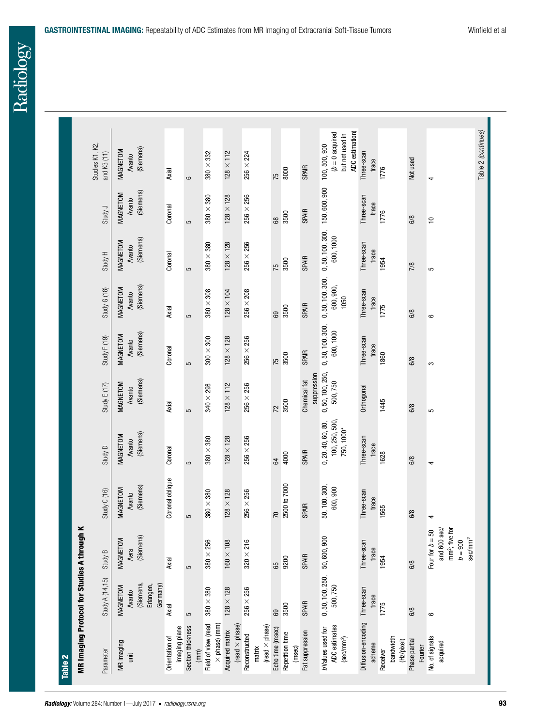|      |                                                          | ×<br>MR Imaging Protocol for Studies A through                                                      |                                 |                                                    |                                 |                                 |                                      |                                 |                                 |                                                                        |
|------|----------------------------------------------------------|-----------------------------------------------------------------------------------------------------|---------------------------------|----------------------------------------------------|---------------------------------|---------------------------------|--------------------------------------|---------------------------------|---------------------------------|------------------------------------------------------------------------|
|      | Study A (14,15)                                          | Study B                                                                                             | Study C (16)                    | Study D                                            | Study $E(17)$                   | Study $F(19)$                   | Study G (18)                         | Study H                         | Study J                         | Studies K1, K2,<br>and K3 (11)                                         |
|      | (Siemens,<br>Germany)<br>Erlangen,<br>MAGNETOM<br>Avanto | (Siemens)<br>MAGNETOM<br>Aera                                                                       | (Siemens)<br>MAGNETOM<br>Avanto | (Siemens)<br>MAGNETOM<br>Avanto                    | (Siemens)<br>MAGNETOM<br>Avanto | (Siemens)<br>MAGNETOM<br>Avanto | (Siemens)<br>MAGNETOM<br>Avanto      | (Siemens)<br>MAGNETOM<br>Avanto | (Siemens)<br>MAGNETOM<br>Avanto | (Siemens)<br>MAGNETOM<br>Avanto                                        |
|      | Axial                                                    | Axial                                                                                               | Coronal oblique                 | Coronal                                            | Axial                           | Coronal                         | Axial                                | Coronal                         | Coronal                         | Axial                                                                  |
| 5    |                                                          | 5                                                                                                   | 5                               | 5                                                  | 5                               | 5                               | 5                                    | 5                               | 5                               | $\circ$                                                                |
|      | $380\times380$                                           | $380\times256$                                                                                      | $380 \times 380$                | $380 \times 380$                                   | $340 \times 298$                | $300 \times 300$                | $380 \times 308$                     | $380 \times 380$                | $380 \times 380$                | $380 \times 332$                                                       |
|      | $128\times128$                                           | $160\times108$                                                                                      | $128 \times 128$                | $128\times128$                                     | $128 \times 112$                | $128\times128$                  | $128\times104$                       | $128\times128$                  | $128 \times 128$                | $128 \times 112$                                                       |
|      | $256 \times 256$                                         | $320 \times 216$                                                                                    | $256 \times 256$                | $256 \times 256$                                   | $256 \times 256$                | $256 \times 256$                | $256 \times 208$                     | $256 \times 256$                | $256 \times 256$                | $256 \times 224$                                                       |
| 69   |                                                          | 65                                                                                                  | $\overline{2}$                  | 64                                                 | 72                              | 75                              | 69                                   | 75                              | 89                              | 75                                                                     |
| 3500 |                                                          | 9200                                                                                                | 2500 to 7000                    | 4000                                               | 3500                            | 3500                            | 3500                                 | 3500                            | 3500                            | 8000                                                                   |
|      | <b>SPAIR</b>                                             | <b>SPAIR</b>                                                                                        | <b>SPAIR</b>                    | <b>SPAIR</b>                                       | suppression<br>Chemical fat     | <b>SPAIR</b>                    | <b>SPAIR</b>                         | <b>SPAIR</b>                    | <b>SPAIR</b>                    | <b>SPAIR</b>                                                           |
|      | 0, 50, 100, 250,<br>500,750                              | 50,600,900                                                                                          | 50, 100, 300,<br>600,900        | 100, 250, 500,<br>0, 20, 40, 60, 80,<br>750, 1000* | 0, 50, 100, 250,<br>500,750     | 0, 50, 100, 300,<br>600, 1000   | 0, 50, 100, 300,<br>600,900,<br>1050 | 0, 50, 100, 300,<br>600, 1000   | 150,600,900                     | ADC estimation)<br>$(b = 0$ acquired<br>but not used in<br>100,500,900 |
|      | Diffusion-encoding Three-scan<br>trace                   | Three-scan<br>trace                                                                                 | Three-scan<br>trace             | Three-scan<br>trace                                | Orthogonal                      | Three-scan<br>trace             | Three-scan<br>trace                  | Three-scan<br>trace             | Three-scan<br>trace             | Three-scan<br>trace                                                    |
| 1775 |                                                          | 1954                                                                                                | 1565                            | 1628                                               | 1445                            | 1860                            | 1775                                 | 1954                            | 1776                            | 1776                                                                   |
| 6/8  |                                                          | 6/8                                                                                                 | 6/8                             | 6/8                                                | 6/8                             | 6/8                             | 6/8                                  | 7/8                             | 6/8                             | Not used                                                               |
| ဖ    |                                                          | and 600 sec/<br>mm <sup>2</sup> ; five for<br>Four for $b = 50$<br>sec/mm <sup>2</sup><br>$b = 900$ | 4                               | 4                                                  | 5                               | S                               | ဖ                                    | 5                               | ₽                               | 4                                                                      |
|      |                                                          |                                                                                                     |                                 |                                                    |                                 |                                 |                                      |                                 |                                 | Table 2 (continues)                                                    |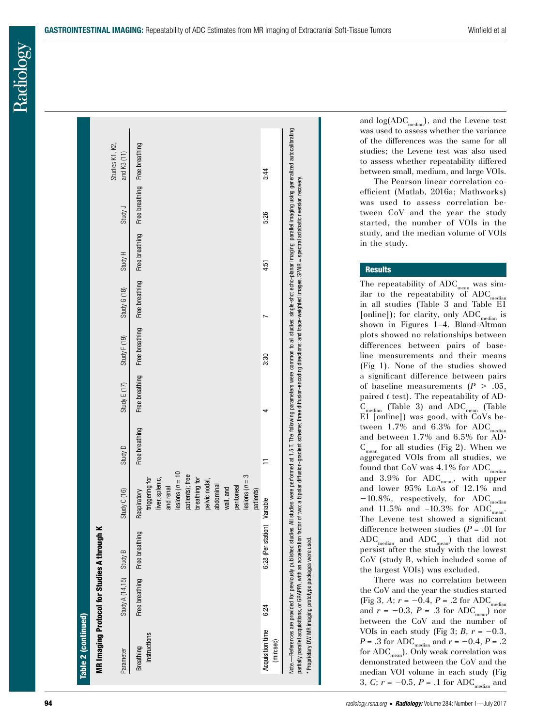| <b><i><u>Froum</u></i></b><br>⋍<br>í |
|--------------------------------------|
|                                      |
|                                      |
| <b>Studic</b><br>-<br>-<br>-         |
|                                      |
| è                                    |
|                                      |
| otoco                                |
|                                      |
|                                      |
|                                      |
| į                                    |
|                                      |
| man.                                 |
|                                      |
|                                      |

|                               | MR Imaging Protocol for Studies A through |                             |                                                                                                                                                                                                                             |                |                |                |              |                               |         |                                |
|-------------------------------|-------------------------------------------|-----------------------------|-----------------------------------------------------------------------------------------------------------------------------------------------------------------------------------------------------------------------------|----------------|----------------|----------------|--------------|-------------------------------|---------|--------------------------------|
| Parameter                     | Study A (14,15)                           | Study B                     | Study C (16)                                                                                                                                                                                                                | Study D        | Study $E(17)$  | Study $F(19)$  | Study G (18) | Study H                       | Study J | Studies K1, K2,<br>and K3 (11) |
| instructions<br>Breathing     | Free breathing                            | Free breathing              | $\text{lesions}$ ( $n = 10$<br>patients); free<br>$lesions (n = 3)$<br>breathing for<br>triggering for<br>liver, splenic,<br>pelvic nodal,<br>and renal<br>abdominal<br>peritoneal<br>wall, and<br>patients)<br>Respiratory | Free breathing | Free breathing | Free breathing |              | Free breathing Free breathing |         | Free breathing Free breathing  |
| Acquisition time<br>(min:sec) | 6:24                                      | 6:28 (Per station) Variable |                                                                                                                                                                                                                             |                |                | 3:30           |              | 4:51                          | 5:26    | 5:44                           |

and  $log(ADC_{median})$ , and the Levene test was used to assess whether the variance of the differences was the same for all studies; the Levene test was also used to assess whether repeatability differed between small, medium, and large VOIs.

The Pearson linear correlation co efficient (Matlab, 2016a; Mathworks) was used to assess correlation be tween CoV and the year the study started, the number of VOIs in the study, and the median volume of VOIs in the study.

# **Results**

The repeatability of  $\text{ADC}_{\text{mean}}$  was similar to the repeatability of  $\mathrm{ADC}_{\mathrm{median}}$ in all studies (Table 3 and Table E1 [online]); for clarity, only ADC<sub>median</sub> is shown in Figures 1–4. Bland-Altman plots showed no relationships between differences between pairs of base line measurements and their means (Fig 1). None of the studies showed a significant difference between pairs of baseline measurements  $(P > .05, )$ paired *t* test). The repeatability of AD -  $C_{\text{median}}$  (Table 3) and ADC<sub>mean</sub> (Table E1 [online]) was good, with CoVs be tween  $1.7\%$  and  $6.3\%$  for ADC<sub>median</sub> and between 1.7% and 6.5% for AD -  $C_{mean}$  for all studies (Fig 2). When we aggregated VOIs from all studies, we found that  $CoV$  was  $4.1\%$  for  $ADC_{median}$ and  $3.9\%$  for  $ADC_{mean}$ , with upper and lower 95% LoAs of 12.1% and  $-10.8\%$ , respectively, for  $ADC_{\text{median}}$ and  $11.5\%$  and  $-10.3\%$  for ADC<sub>mean</sub>. The Levene test showed a significant difference between studies ( *P* = .01 for  $ADC_{\text{median}}$  and  $ADC_{\text{mean}}$ ) that did not persist after the study with the lowest CoV (study B, which included some of the largest VOIs) was excluded.

There was no correlation between the CoV and the year the studies started (Fig 3, A;  $r = -0.4$ ,  $P = .2$  for ADC<sub>median</sub> and  $r = -0.3$ ,  $P = .3$  for  $ADC_{\text{mean}}$ ) nor between the CoV and the number of VOIs in each study (Fig 3;  $B$ ,  $r = -0.3$ ,  $P = .3$  for ADC<sub>median</sub> and  $r = -0.4$ ,  $P = .2$ for  $ADC_{mean}$ ). Only weak correlation was demonstrated between the CoV and the median VOI volume in each study (Fig 3,  $C$ ;  $r = -0.5$ ,  $P = .1$  for ADC<sub>median</sub> and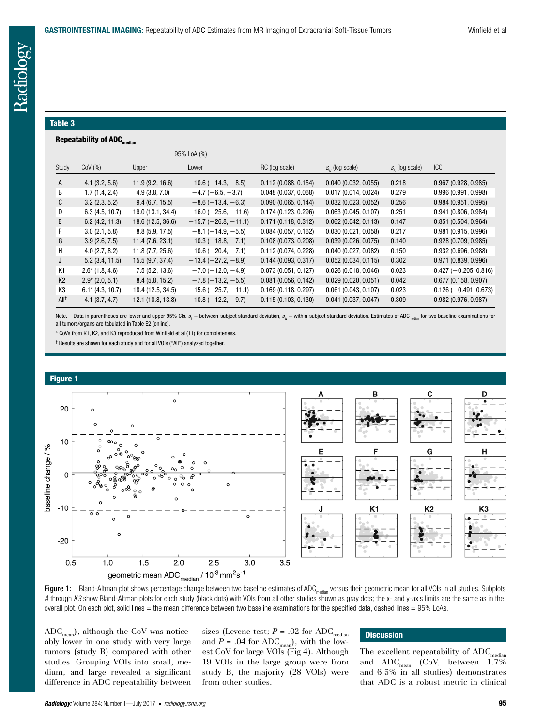#### Table 3

## Repeatability of ADC<sub>median</sub>

|                  |                    |                   | 95% LoA (%)                   |                     |                                        |                     |                         |
|------------------|--------------------|-------------------|-------------------------------|---------------------|----------------------------------------|---------------------|-------------------------|
| Study            | $COV$ $(\%)$       | Upper             | Lower                         | RC (log scale)      | $S_{\scriptscriptstyle M}$ (log scale) | $S_{R}$ (log scale) | <b>ICC</b>              |
| A                | 4.1(3.2, 5.6)      | 11.9(9.2, 16.6)   | $-10.6(-14.3,-8.5)$           | 0.112(0.088, 0.154) | 0.040(0.032, 0.055)                    | 0.218               | 0.967(0.928, 0.985)     |
| В                | 1.7(1.4, 2.4)      | 4.9(3.8, 7.0)     | $-4.7(-6.5, -3.7)$            | 0.048(0.037, 0.068) | 0.017(0.014, 0.024)                    | 0.279               | 0.996(0.991, 0.998)     |
| C                | 3.2(2.3, 5.2)      | 9.4(6.7, 15.5)    | $-8.6(-13.4, -6.3)$           | 0.090(0.065, 0.144) | 0.032(0.023, 0.052)                    | 0.256               | 0.984(0.951, 0.995)     |
| D                | 6.3(4.5, 10.7)     | 19.0 (13.1, 34.4) | $-16.0$ ( $-25.6$ , $-11.6$ ) | 0.174(0.123, 0.296) | 0.063(0.045, 0.107)                    | 0.251               | 0.941(0.806, 0.984)     |
| E.               | 6.2(4.2, 11.3)     | 18.6 (12.5, 36.6) | $-15.7 (-26.8, -11.1)$        | 0.171(0.118, 0.312) | 0.062(0.042, 0.113)                    | 0.147               | 0.851(0.504, 0.964)     |
| F.               | 3.0(2.1, 5.8)      | 8.8(5.9, 17.5)    | $-8.1(-14.9, -5.5)$           | 0.084(0.057, 0.162) | 0.030(0.021, 0.058)                    | 0.217               | 0.981 (0.915, 0.996)    |
| G                | 3.9(2.6, 7.5)      | 11.4(7.6, 23.1)   | $-10.3(-18.8, -7.1)$          | 0.108(0.073, 0.208) | 0.039(0.026, 0.075)                    | 0.140               | 0.928(0.709, 0.985)     |
| H                | 4.0(2.7, 8.2)      | 11.8(7.7, 25.6)   | $-10.6(-20.4, -7.1)$          | 0.112(0.074, 0.228) | 0.040(0.027, 0.082)                    | 0.150               | 0.932(0.696, 0.988)     |
| J                | 5.2(3.4, 11.5)     | 15.5(9.7, 37.4)   | $-13.4 (-27.2, -8.9)$         | 0.144(0.093, 0.317) | 0.052(0.034, 0.115)                    | 0.302               | 0.971(0.839, 0.996)     |
| K1               | $2.6^*$ (1.8, 4.6) | 7.5(5.2, 13.6)    | $-7.0$ ( $-12.0, -4.9$ )      | 0.073(0.051, 0.127) | 0.026(0.018, 0.046)                    | 0.023               | $0.427 (-0.205, 0.816)$ |
| K <sub>2</sub>   | $2.9^*$ (2.0, 5.1) | 8.4(5.8, 15.2)    | $-7.8(-13.2, -5.5)$           | 0.081(0.056, 0.142) | 0.029(0.020, 0.051)                    | 0.042               | 0.677(0.158.0.907)      |
| K <sub>3</sub>   | $6.1*$ (4.3, 10.7) | 18.4 (12.5, 34.5) | $-15.6$ ( $-25.7$ , $-11.1$ ) | 0.169(0.118, 0.297) | 0.061(0.043, 0.107)                    | 0.023               | $0.126 (-0.491, 0.673)$ |
| All <sup>†</sup> | 4.1(3.7, 4.7)      | 12.1 (10.8, 13.8) | $-10.8(-12.2, -9.7)$          | 0.115(0.103, 0.130) | $0.041$ (0.037, 0.047)                 | 0.309               | 0.982(0.976, 0.987)     |

Note.—Data in parentheses are lower and upper 95% Cls. s<sub>s</sub> = between-subject standard deviation, s<sub>w</sub> = within-subject standard deviation. Estimates of ADC<sub>median</sub> for two baseline examinations for all tumors/organs are tabulated in Table E2 (online).

\* CoVs from K1, K2, and K3 reproduced from Winfield et al (11) for completeness.

† Results are shown for each study and for all VOIs ("All") analyzed together.



Figure 1: Bland-Altman plot shows percentage change between two baseline estimates of ADC<sub>median</sub> versus their geometric mean for all VOIs in all studies. Subplots *A* through *K3* show Bland-Altman plots for each study (black dots) with VOIs from all other studies shown as gray dots; the x- and y-axis limits are the same as in the overall plot. On each plot, solid lines = the mean difference between two baseline examinations for the specified data, dashed lines = 95% LoAs.

 $ADC_{\text{mean}}$ , although the CoV was noticeably lower in one study with very large tumors (study B) compared with other studies. Grouping VOIs into small, medium, and large revealed a significant difference in ADC repeatability between sizes (Levene test;  $P = .02$  for  $ADC_{median}$ and  $P = .04$  for ADC<sub>mean</sub>), with the lowest CoV for large VOIs (Fig 4). Although 19 VOIs in the large group were from study B, the majority (28 VOIs) were from other studies.

# **Discussion**

The excellent repeatability of  $ADC_n$ and  $ADC_{mean}$  (CoV, between 1.7%) and 6.5% in all studies) demonstrates that ADC is a robust metric in clinical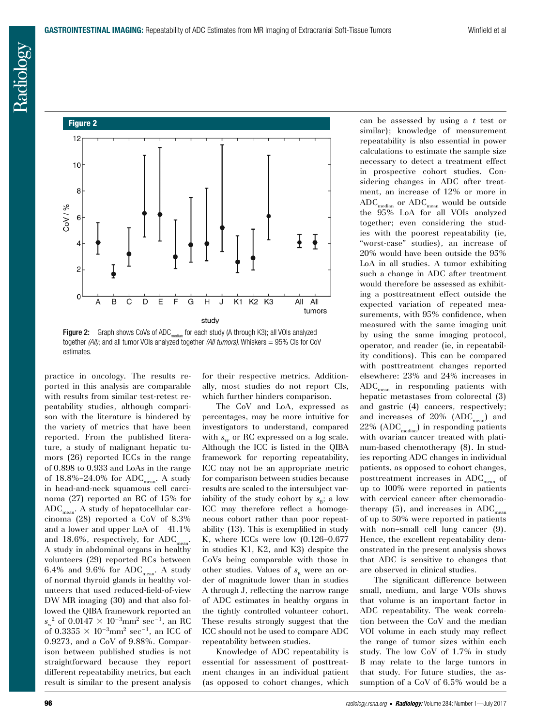# Figure 2



Figure 2: Graph shows CoVs of ADC<sub>median</sub> for each study (A through K3); all VOIs analyzed together *(All)*; and all tumor VOIs analyzed together *(All tumors)*. Whiskers = 95% CIs for CoV estimates.

practice in oncology. The results reported in this analysis are comparable with results from similar test-retest repeatability studies, although comparison with the literature is hindered by the variety of metrics that have been reported. From the published literature, a study of malignant hepatic tumors (26) reported ICCs in the range of 0.898 to 0.933 and LoAs in the range of  $18.8\% - 24.0\%$  for ADC<sub>mean</sub>. A study in head-and-neck squamous cell carcinoma (27) reported an RC of 15% for  $\mathrm{ADC}_{\mathrm{mean}}.$  A study of hepatocellular carcinoma (28) reported a CoV of 8.3% and a lower and upper LoA of  $-41.1\%$ and 18.6%, respectively, for ADC<sub>mean</sub>. A study in abdominal organs in healthy volunteers (29) reported RCs between 6.4% and 9.6% for  $ADC_{mean}$ . A study of normal thyroid glands in healthy volunteers that used reduced-field-of-view DW MR imaging (30) and that also followed the QIBA framework reported an  $s_{w}^{2}$  of 0.0147  $\times$  10<sup>-3</sup>mm<sup>2</sup> sec<sup>-1</sup>, an RC of 0.3355  $\times$  10<sup>-3</sup>mm<sup>2</sup> sec<sup>-1</sup>, an ICC of 0.9273, and a CoV of 9.88%. Comparison between published studies is not straightforward because they report different repeatability metrics, but each result is similar to the present analysis

for their respective metrics. Additionally, most studies do not report CIs, which further hinders comparison.

The CoV and LoA, expressed as percentages, may be more intuitive for investigators to understand, compared with  $s_w$  or RC expressed on a log scale. Although the ICC is listed in the QIBA framework for reporting repeatability, ICC may not be an appropriate metric for comparison between studies because results are scaled to the intersubject variability of the study cohort by  $s_{\rm B}$ ; a low ICC may therefore reflect a homogeneous cohort rather than poor repeatability (13). This is exemplified in study K, where ICCs were low (0.126–0.677 in studies K1, K2, and K3) despite the CoVs being comparable with those in other studies. Values of  $s_p$  were an order of magnitude lower than in studies A through J, reflecting the narrow range of ADC estimates in healthy organs in the tightly controlled volunteer cohort. These results strongly suggest that the ICC should not be used to compare ADC repeatability between studies.

Knowledge of ADC repeatability is essential for assessment of posttreatment changes in an individual patient (as opposed to cohort changes, which can be assessed by using a *t* test or similar); knowledge of measurement repeatability is also essential in power calculations to estimate the sample size necessary to detect a treatment effect in prospective cohort studies. Considering changes in ADC after treatment, an increase of 12% or more in  $\rm{ADC}_{\rm{median}}$  or  $\rm{ADC}_{\rm{mean}}$  would be outside the 95% LoA for all VOIs analyzed together; even considering the studies with the poorest repeatability (ie, "worst-case" studies), an increase of 20% would have been outside the 95% LoA in all studies. A tumor exhibiting such a change in ADC after treatment would therefore be assessed as exhibiting a posttreatment effect outside the expected variation of repeated measurements, with 95% confidence, when measured with the same imaging unit by using the same imaging protocol, operator, and reader (ie, in repeatability conditions). This can be compared with posttreatment changes reported elsewhere: 23% and 24% increases in  $ADC_{\text{mean}}$  in responding patients with hepatic metastases from colorectal (3) and gastric (4) cancers, respectively; and increases of 20%  $(ADC_{mean})$  and  $22\%$  (ADC<sub>median</sub>) in responding patients with ovarian cancer treated with platinum-based chemotherapy (8). In studies reporting ADC changes in individual patients, as opposed to cohort changes, posttreatment increases in ADC<sub>noon</sub> of up to 100% were reported in patients with cervical cancer after chemoradiotherapy  $(5)$ , and increases in ADC<sub>mean</sub> of up to 50% were reported in patients with non-small cell lung cancer  $(9)$ . Hence, the excellent repeatability demonstrated in the present analysis shows that ADC is sensitive to changes that are observed in clinical studies.

The significant difference between small, medium, and large VOIs shows that volume is an important factor in ADC repeatability. The weak correlation between the CoV and the median VOI volume in each study may reflect the range of tumor sizes within each study. The low CoV of 1.7% in study B may relate to the large tumors in that study. For future studies, the assumption of a CoV of 6.5% would be a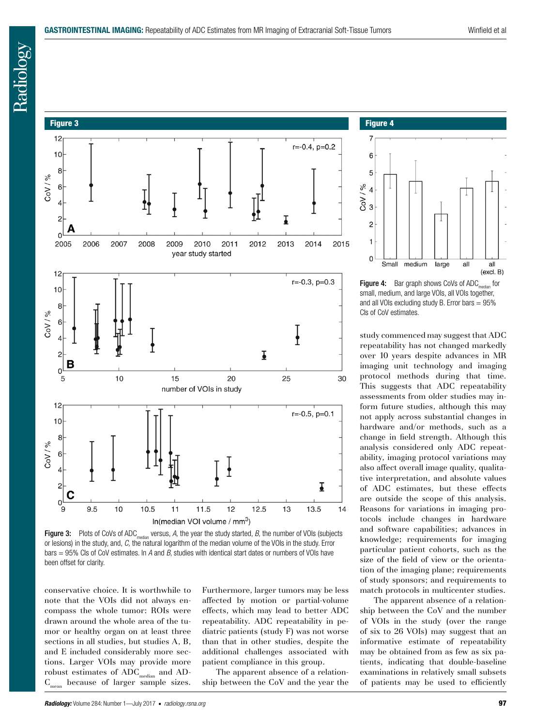# Figure 3



Figure 3: Plots of CoVs of ADC<sub>median</sub> versus, *A*, the year the study started, *B*, the number of VOIs (subjects or lesions) in the study, and, *C,* the natural logarithm of the median volume of the VOIs in the study. Error bars = 95% CIs of CoV estimates. In *A* and *B*, studies with identical start dates or numbers of VOIs have been offset for clarity.

conservative choice. It is worthwhile to note that the VOIs did not always encompass the whole tumor: ROIs were drawn around the whole area of the tumor or healthy organ on at least three sections in all studies, but studies A, B, and E included considerably more sections. Larger VOIs may provide more robust estimates of  $ADC_{\text{median}}$  and  $AD-C_{\text{mean}}$  because of larger sample sizes. because of larger sample sizes.

Furthermore, larger tumors may be less affected by motion or partial-volume effects, which may lead to better ADC repeatability. ADC repeatability in pediatric patients (study F) was not worse than that in other studies, despite the additional challenges associated with patient compliance in this group.

The apparent absence of a relationship between the CoV and the year the

#### Figure 4



**Figure 4:** Bar graph shows CoVs of  $ADC_{median}$  for small, medium, and large VOIs, all VOIs together, and all VOIs excluding study B. Error bars  $= 95\%$ CIs of CoV estimates.

study commenced may suggest that ADC repeatability has not changed markedly over 10 years despite advances in MR imaging unit technology and imaging protocol methods during that time. This suggests that ADC repeatability assessments from older studies may inform future studies, although this may not apply across substantial changes in hardware and/or methods, such as a change in field strength. Although this analysis considered only ADC repeatability, imaging protocol variations may also affect overall image quality, qualitative interpretation, and absolute values of ADC estimates, but these effects are outside the scope of this analysis. Reasons for variations in imaging protocols include changes in hardware and software capabilities; advances in knowledge; requirements for imaging particular patient cohorts, such as the size of the field of view or the orientation of the imaging plane; requirements of study sponsors; and requirements to match protocols in multicenter studies.

The apparent absence of a relationship between the CoV and the number of VOIs in the study (over the range of six to 26 VOIs) may suggest that an informative estimate of repeatability may be obtained from as few as six patients, indicating that double-baseline examinations in relatively small subsets of patients may be used to efficiently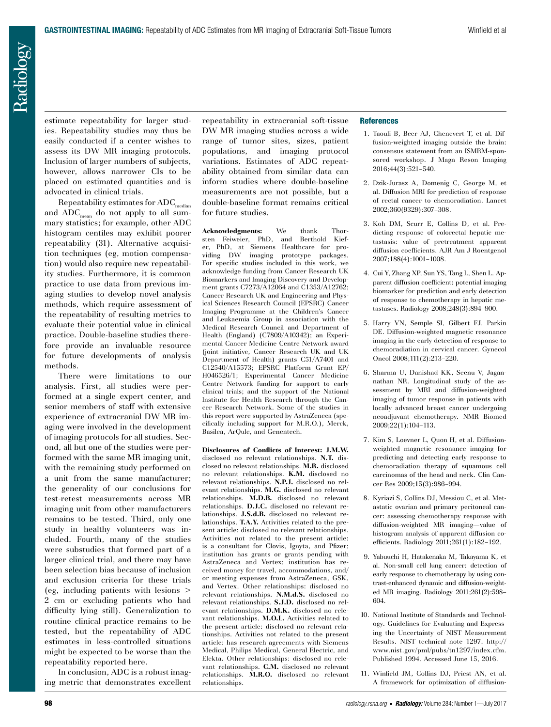estimate repeatability for larger studies. Repeatability studies may thus be easily conducted if a center wishes to assess its DW MR imaging protocols. Inclusion of larger numbers of subjects, however, allows narrower CIs to be placed on estimated quantities and is advocated in clinical trials.

Repeatability estimates for  $ADC_{median}$ and  $ADC_{mean}$  do not apply to all summary statistics; for example, other ADC histogram centiles may exhibit poorer repeatability (31). Alternative acquisition techniques (eg, motion compensation) would also require new repeatability studies. Furthermore, it is common practice to use data from previous imaging studies to develop novel analysis methods, which require assessment of the repeatability of resulting metrics to evaluate their potential value in clinical practice. Double-baseline studies therefore provide an invaluable resource for future developments of analysis methods.

There were limitations to our analysis. First, all studies were performed at a single expert center, and senior members of staff with extensive experience of extracranial DW MR imaging were involved in the development of imaging protocols for all studies. Second, all but one of the studies were performed with the same MR imaging unit, with the remaining study performed on a unit from the same manufacturer; the generality of our conclusions for test-retest measurements across MR imaging unit from other manufacturers remains to be tested. Third, only one study in healthy volunteers was included. Fourth, many of the studies were substudies that formed part of a larger clinical trial, and there may have been selection bias because of inclusion and exclusion criteria for these trials (eg, including patients with lesions  $\geq$ 2 cm or excluding patients who had difficulty lying still). Generalization to routine clinical practice remains to be tested, but the repeatability of ADC estimates in less-controlled situations might be expected to be worse than the repeatability reported here.

In conclusion, ADC is a robust imaging metric that demonstrates excellent repeatability in extracranial soft-tissue DW MR imaging studies across a wide range of tumor sites, sizes, patient populations, and imaging protocol variations. Estimates of ADC repeatability obtained from similar data can inform studies where double-baseline measurements are not possible, but a double-baseline format remains critical for future studies.

**Acknowledgments:** We thank Thorsten Feiweier, PhD, and Berthold Kiefer, PhD, at Siemens Healthcare for providing DW imaging prototype packages. For specific studies included in this work, we acknowledge funding from Cancer Research UK Biomarkers and Imaging Discovery and Development grants C7273/A12064 and C1353/A12762; Cancer Research UK and Engineering and Physical Sciences Research Council (EPSRC) Cancer Imaging Programme at the Children's Cancer and Leukaemia Group in association with the Medical Research Council and Department of Health (England) (C7809/A10342); an Experimental Cancer Medicine Centre Network award (joint initiative, Cancer Research UK and UK Department of Health) grants C51/A7401 and C12540/A15573; EPSRC Platform Grant EP/ H046526/1; Experimental Cancer Medicine Centre Network funding for support to early clinical trials; and the support of the National Institute for Health Research through the Cancer Research Network. Some of the studies in this report were supported by AstraZeneca (specifically including support for M.R.O.), Merck, Basilea, ArQule, and Genentech.

**Disclosures of Conflicts of Interest: J.M.W.** disclosed no relevant relationships. **N.T.** disclosed no relevant relationships. **M.R.** disclosed no relevant relationships. **K.M.** disclosed no relevant relationships. **N.P.J.** disclosed no relevant relationships. **M.G.** disclosed no relevant relationships. **M.D.B.** disclosed no relevant relationships. **D.J.C.** disclosed no relevant relationships. **J.S.d.B.** disclosed no relevant relationships. **T.A.Y.** Activities related to the present article: disclosed no relevant relationships. Activities not related to the present article: is a consultant for Clovis, Ignyta, and Pfizer; institution has grants or grants pending with AstraZeneca and Vertex; institution has received money for travel, accommodations, and/ or meeting expenses from AstraZeneca, GSK, and Vertex. Other relationships: disclosed no relevant relationships. **N.M.d.S.** disclosed no relevant relationships. **S.J.D.** disclosed no relevant relationships. **D.M.K.** disclosed no relevant relationships. **M.O.L.** Activities related to the present article: disclosed no relevant relationships. Activities not related to the present article: has research agreements with Siemens Medical, Philips Medical, General Electric, and Elekta. Other relationships: disclosed no relevant relationships. **C.M.** disclosed no relevant relationships. **M.R.O.** disclosed no relevant relationships.

#### **References**

- 1. Taouli B, Beer AJ, Chenevert T, et al. Diffusion-weighted imaging outside the brain: consensus statement from an ISMRM-sponsored workshop. J Magn Reson Imaging 2016;44(3):521–540.
- 2. Dzik-Jurasz A, Domenig C, George M, et al. Diffusion MRI for prediction of response of rectal cancer to chemoradiation. Lancet 2002;360(9329):307–308.
- 3. Koh DM, Scurr E, Collins D, et al. Predicting response of colorectal hepatic metastasis: value of pretreatment apparent diffusion coefficients. AJR Am J Roentgenol 2007;188(4):1001–1008.
- 4. Cui Y, Zhang XP, Sun YS, Tang L, Shen L. Apparent diffusion coefficient: potential imaging biomarker for prediction and early detection of response to chemotherapy in hepatic metastases. Radiology 2008;248(3):894–900.
- 5. Harry VN, Semple SI, Gilbert FJ, Parkin DE. Diffusion-weighted magnetic resonance imaging in the early detection of response to chemoradiation in cervical cancer. Gynecol Oncol 2008;111(2):213–220.
- 6. Sharma U, Danishad KK, Seenu V, Jagannathan NR. Longitudinal study of the assessment by MRI and diffusion-weighted imaging of tumor response in patients with locally advanced breast cancer undergoing neoadjuvant chemotherapy. NMR Biomed 2009;22(1):104–113.
- 7. Kim S, Loevner L, Quon H, et al. Diffusionweighted magnetic resonance imaging for predicting and detecting early response to chemoradiation therapy of squamous cell carcinomas of the head and neck. Clin Cancer Res 2009;15(3):986–994.
- 8. Kyriazi S, Collins DJ, Messiou C, et al. Metastatic ovarian and primary peritoneal cancer: assessing chemotherapy response with diffusion-weighted MR imaging—value of histogram analysis of apparent diffusion coefficients. Radiology 2011;261(1):182–192.
- 9. Yabuuchi H, Hatakenaka M, Takayama K, et al. Non-small cell lung cancer: detection of early response to chemotherapy by using contrast-enhanced dynamic and diffusion-weighted MR imaging. Radiology 2011;261(2):598– 604.
- 10. National Institute of Standards and Technology. Guidelines for Evaluating and Expressing the Uncertainty of NIST Measurement Results. NIST technical note 1297. http:// www.nist.gov/pml/pubs/tn1297/index.cfm. Published 1994. Accessed June 15, 2016.
- 11. Winfield JM, Collins DJ, Priest AN, et al. A framework for optimization of diffusion-